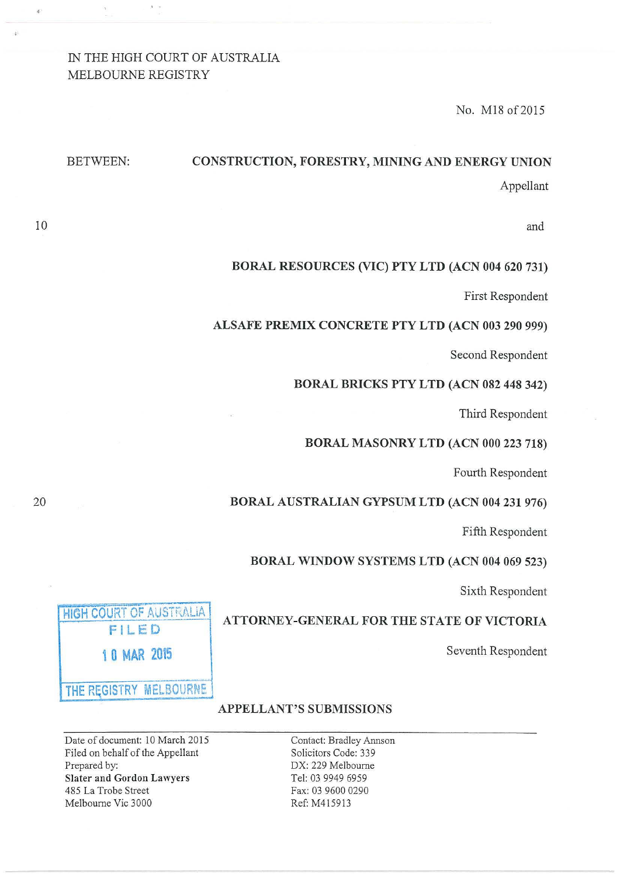# IN THE HIGH COURT OF AUSTRALIA MELBOURNE REGISTRY

No. M18 of 2015

# BETWEEN: CONSTRUCTION, FORESTRY, MINING AND ENERGY UNION Appellant

and

#### BORAL RESOURCES (VIC) PTY LTD (ACN 004 620 731)

First Respondent

#### ALSAFE PREMIX CONCRETE PTY LTD (ACN 003 290 999)

Second Respondent

#### BORAL BRICKS PTY LTD (ACN 082 448 342)

Third Respondent

#### BORAL MASONRY LTD (ACN 000 223 718)

Fourth Respondent

#### BORAL AUSTRALIAN GYPSUM LTD (ACN 004 231 976)

Fifth Respondent

#### BORAL WINDOW SYSTEMS LTD (ACN 004 069 523)

Sixth Respondent

## ATTORNEY-GENERAL FOR THE STATE OF VICTORIA

Seventh Respondent

HIGH COURT OF AUSTRALIA FILED 1 0 MAR 2015 THE REGISTRY MELBOURNE

# APPELLANT'S SUBMISSIONS

Contact: Bradley Annson Solicitors Code: 339 DX: 229 Melbourne Tel: 03 9949 6959 Fax: 03 9600 0290 Ref: M4 15913

Date of document: 10 March 2015 Filed on behalf of the Appellant Prepared by: Slater and Gordon Lawyers 485 La Trobe Street Melbourne Vic 3000

10

•

ŵ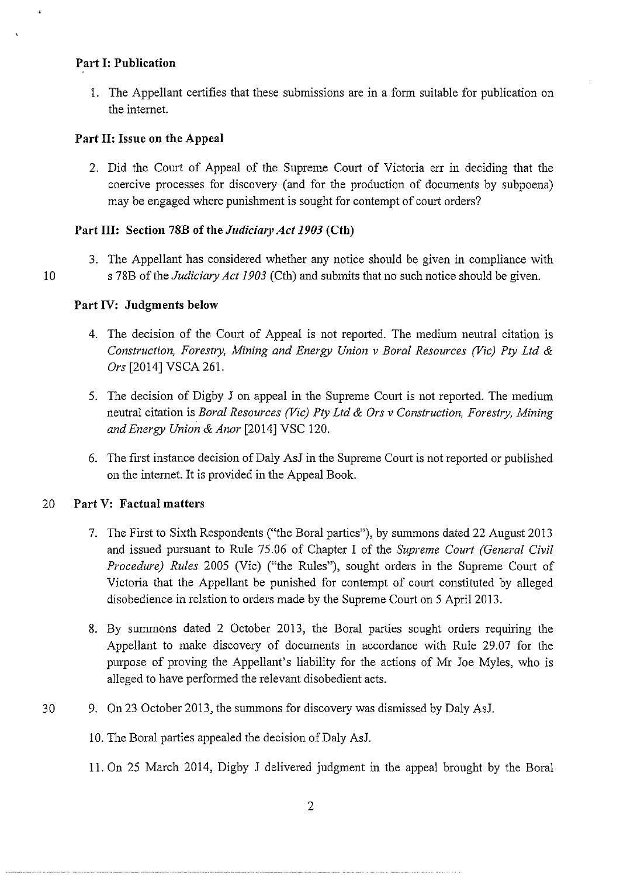## **Part I: Publication**

1. The Appellant certifies that these submissions are in a form suitable for publication on the internet.

# **Part II: Issue on the Appeal**

2. Did the Court of Appeal of the Supreme Court of Victoria err in deciding that the coercive processes for discovery (and for the production of documents by subpoena) may be engaged where punishment is sought for contempt of court orders?

## **Part III: Section 78B of the** *JudicimyAct 1903* **(Cth)**

3. The Appellant has considered whether any notice should be given in compliance with 10 s 78B of the *Judiciary Act 1903* (Cth) and submits that no such notice should be given.

## **Part IV: Judgments below**

- 4. The decision of the Court of Appeal is not reported. The medium neutral citation is *Construction, Forestry, Mining and Energy Union v Bora! Resources (Vic) Pty Ltd* & *Ors* [2014] VSCA 261.
- 5. The decision of Digby J on appeal in the Supreme Court is not reported. The medium neutral citation is *Bora! Resources (Vic) Pty Ltd* & *Ors v Construction, Forestry, Mining and Energy Union* & *Anor* [2014] VSC 120.
- 6. The first instance decision of Daly AsJ in the Supreme Court is not reported or published on the internet. It is provided in the Appeal Book.

## 20 **Part V: Factual matters**

- 7. The First to Sixth Respondents ("the Boral parties"), by summons dated 22 August 2013 and issued pursuant to Rule 75.06 of Chapter I of the *Supreme Court (General Civil Procedure) Rules* 2005 (Vic) ("the Rules"), sought orders in the Supreme Court of Victoria that the Appellant be punished for contempt of court constituted by alleged disobedience in relation to orders made by the Supreme Court on 5 April2013.
- 8. By summons dated 2 October 2013, the Bora! parties sought orders requiring the Appellant to make discovery of documents in accordance with Rule 29.07 for the purpose of proving the Appellant's liability for the actions of Mr Joe Myles, who is alleged to have performed the relevant disobedient acts.
- 30 9. On 23 October 2013, the summons for discovery was dismissed by Daly AsJ.
	- !0. The Bora! parties appealed the decision of Daly AsJ.
	- 11. On 25 March 2014, Digby J delivered judgment in the appeal brought by the Bora!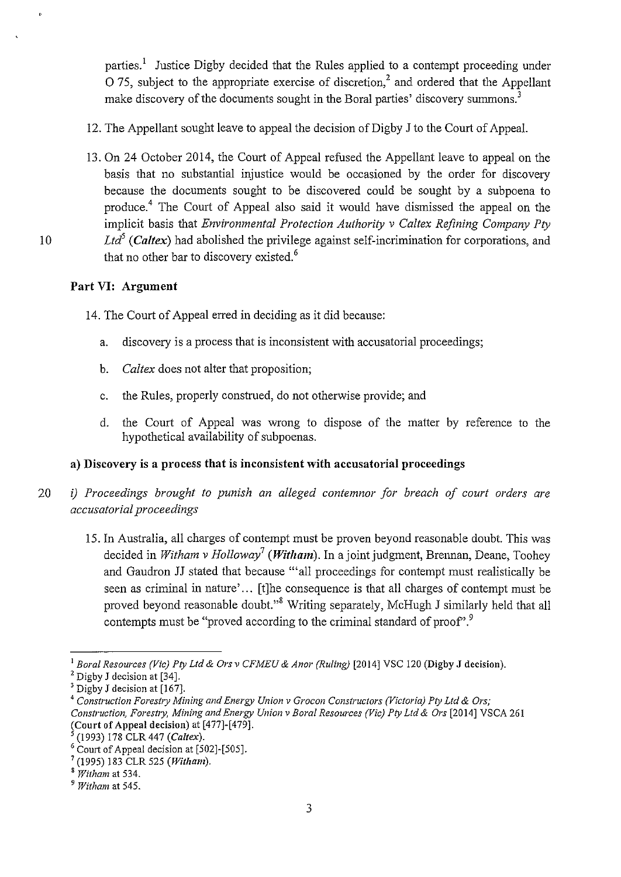parties.1 Justice Digby decided that the Rules applied to a contempt proceeding under  $\overline{O}$  75, subject to the appropriate exercise of discretion,<sup>2</sup> and ordered that the Appellant make discovery of the documents sought in the Boral parties' discovery summons.<sup>3</sup>

- 12. The Appellant sought leave to appeal the decision of Digby J to the Court of Appeal.
- 13. On 24 October 2014, the Court of Appeal refused the Appellant leave to appeal on the basis that no substantial injustice would be occasioned by the order for discovery because the documents sought to be discovered could be sought by a subpoena to produce.4 The Court of Appeal also said it would have dismissed the appeal on the implicit basis that *Environmental Protection Authority v Caltex Refining Company Pty*  10 *Ltd5 (Caltex)* had abolished the privilege against self-incrimination for corporations, and that no other bar to discovery existed. 6

# **Part VI: Argument**

- 14. The Court of Appeal erred in deciding as it did because:
	- a. discovery is a process that is inconsistent with accusatorial proceedings;
	- b. *Caltex* does not alter that proposition;
	- c. the Rules, properly construed, do not otherwise provide; and
	- d. the Court of Appeal was wrong to dispose of the matter by reference to the hypothetical availability of subpoenas.

# **a) Discovery is a process that is inconsistent with accusatorial proceedings**

- 20 *i) Proceedings brought to punish an alleged contemnor for breach of court orders are accusatorial proceedings* 
	- 15. In Australia, all charges of contempt must be proven beyond reasonable doubt. This was decided in *Witham v Holloway<sup>7</sup> (Witham*). In a joint judgment, Brennan, Deane, Toohey and Gaudron JJ stated that because '"all proceedings for contempt must realistically be seen as criminal in nature'... [t]he consequence is that all charges of contempt must be proved beyond reasonable doubt."8 Writing separately, McHugh J similarly held that all contempts must be "proved according to the criminal standard of proof".<sup>9</sup>

<sup>&</sup>lt;sup>1</sup> Boral Resources (Vic) Pty Ltd & Ors v CFMEU & Anor (Ruling) [2014] VSC 120 (Digby J decision).<br><sup>2</sup> Digby J decision at [34].<br><sup>3</sup> Digby J decision at [167].

<sup>3</sup> Digby J decision at [167]. 4 *Construction Forest1y Mining and Energy Union* v *Grocon Constructors (Victoria} Pty Ltd* & *Ors; Construction. Forestry, Mining and Energy Union* v *Bora/ Resources (Vic) Pty Ltd* & *Ors* [2014] VSCA 261 (Court of Appeal decision) at [477]-[479].

<sup>&</sup>lt;sup>5</sup> (1993) 178 CLR 447 *(Caltex)*.<br><sup>6</sup> Court of Appeal decision at [502]-[505].

 $^{7}$  (1995) 183 CLR 525 (Witham).

<sup>8</sup>*Witham* at 534.

<sup>9</sup>*Witham* at 545.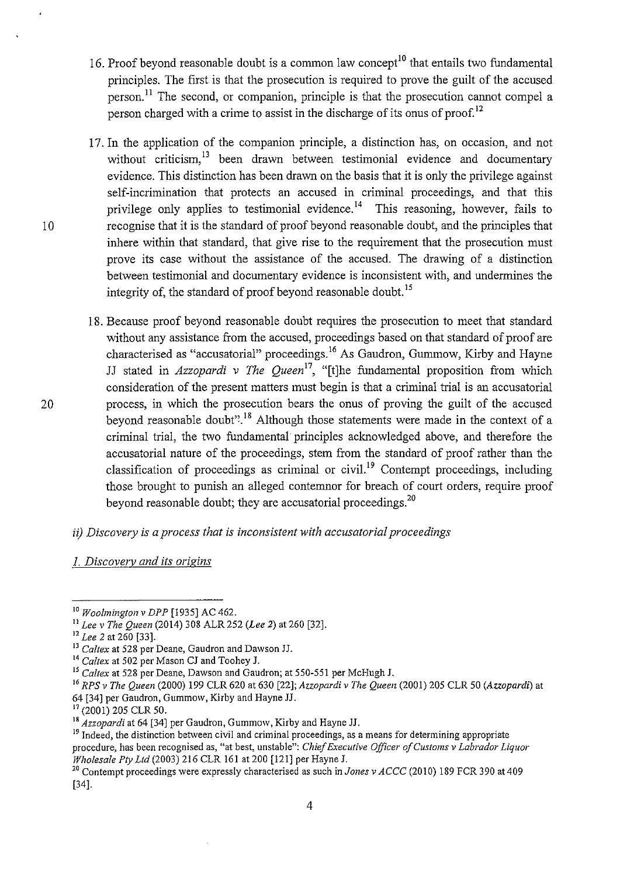- 16. Proof beyond reasonable doubt is a common law concept<sup>10</sup> that entails two fundamental principles. The first is that the prosecution is required to prove the guilt of the accused person.<sup>11</sup> The second, or companion, principle is that the prosecution cannot compel a person charged with a crime to assist in the discharge of its onus of proof.<sup>12</sup>
- 17. In the application of the companion principle, a distinction has, on occasion, and not without criticism.<sup>13</sup> been drawn between testimonial evidence and documentary evidence. This distinction has been drawn on the basis that it is only the privilege against self-incrimination that protects an accused in criminal proceedings, and that this privilege only applies to testimonial evidence.<sup>14</sup> This reasoning, however, fails to recognise that it is the standard of proof beyond reasonable doubt, and the principles that inhere within that standard, that give rise to the requirement that the prosecution must prove its case without the assistance of the accused. The drawing of a distinction between testimonial and documentary evidence is inconsistent with, and undermines the integrity of, the standard of proof beyond reasonable doubt. 15
- 18. Because proof beyond reasonable doubt requires the prosecution to meet that standard without any assistance from the accused, proceedings based on that standard of proof are characterised as "accusatorial" proceedings.<sup>16</sup> As Gaudron, Gummow, Kirby and Hayne JJ stated in *Azzopardi v The Queen17,* "[t)he fundamental proposition from which consideration of the present matters must begin is that a criminal trial is an accusatorial process, in which the prosecution bears the onus of proving the guilt of the accused beyond reasonable doubt". 18 Although those statements were made in the context of a criminal trial, the two fundamental· principles acknowledged above, and therefore the accusatorial nature of the proceedings, stem from the standard of proof rather than the classification of proceedings as criminal or civil.<sup>19</sup> Contempt proceedings, including those brought to punish an alleged contemnor for breach of court orders, require proof beyond reasonable doubt; they are accusatorial proceedings. $^{20}$
- *ii) Discovery is a process that is inconsistent with accusatorial proceedings*
- *1. Discovery and its origins*

<sup>10</sup>*Woolmington v DPP* [1935] AC 462.

*<sup>&</sup>quot;Lee v The Queen* (2014) 308 ALR 252 *(Lee 2)* at 260 [32]. 12 *Lee 2* at 260 [33].

<sup>&</sup>lt;sup>14</sup> Caltex at 502 per Mason CJ and Toohey J.

<sup>15</sup>*Caltex* at 528 per Deane, Dawson and Gaudron; at 550-551 per McHugh J.

<sup>16</sup>*RPS v The Queen* (2000) 199 CLR 620 at 630 [22]; *Azzopardi v The Queen* (2001) 205 CLR 50 *(Azzopardi)* at 64 [34] per Gaudron, Gummow, Kirby and Hayne JJ.

<sup>&</sup>lt;sup>17</sup> (2001) 205 CLR 50.<br><sup>18</sup> *Azzopardi* at 64 [34] per Gaudron, Gummow, Kirby and Hayne JJ.

<sup>&</sup>lt;sup>19</sup> Indeed, the distinction between civil and criminal proceedings, as a means for determining appropriate procedure, has been recognised as, "at best, unstable": *Chief Executive Officer of Customs v Labrador Liquor Wholesale Pty Ltd* (2003) 216 CLR 161 at 200 [121] per Hayne J.

<sup>20</sup> Contempt proceedings were expressly characterised as such in *Jones v ACCC* (2010) 189 FCR 390 at 409 [34].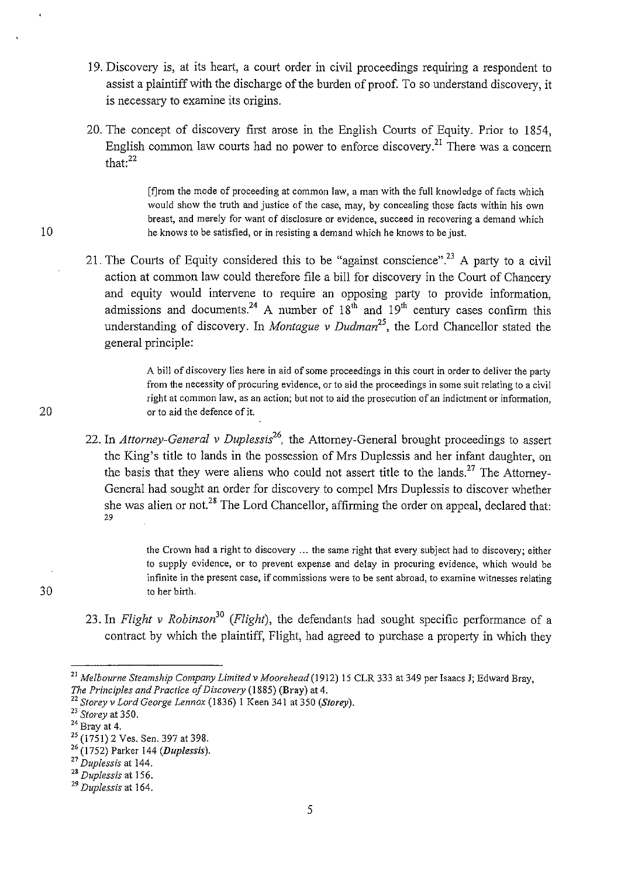- 19. Discovery is, at its heart, a court order in civil proceedings requiring a respondent to assist a plaintiff with the discharge of the burden of proof. To so understand discovery, it is necessary to examine its origins.
- 20. The concept of discovery first arose in the English Courts of Equity. Prior to 1854, English common law courts had no power to enforce discovery.<sup>21</sup> There was a concern that:<sup>22</sup>

(f]rom the mode of proceeding at common Jaw, a man with the full knowledge of facts which would show the truth and justice of the case, may, by concealing those facts within his own **breast, and merely for want of disclosure or evidence, succeed in recovering a demand which**  he knows to be satisfied, or in resisting a demand which he knows to be just.

21. The Courts of Equity considered this to be "against conscience".<sup>23</sup> A party to a civil action at common law could therefore file a bill for discovery in the Court of Chancery and equity would intervene to require an opposing party to provide information, admissions and documents.<sup>24</sup> A number of  $18<sup>th</sup>$  and  $19<sup>th</sup>$  century cases confirm this understanding of discovery. In *Montague v Dudman<sup>25</sup> ,* the Lord Chancellor stated the general principle:

> A bill of discovery lies here in aid of some proceedings in this court in order to deliver the party **from the necessity of procuring evidence, or to aid the proceedings in some suit relating to a civil right at common law, as an action; but not to aid the prosecution of an indictment or information,**  or to aid the defence of it.

22. In *Attorney-General v Duplessis26,* the Attorney-General brought proceedings to assert the King's title to lands in the possession of Mrs Duplessis and her infant daughter, on the basis that they were aliens who could not assert title to the lands.<sup>27</sup> The Attorney-General had sought an order for discovery to compel Mrs Duplessis to discover whether she was alien or not.<sup>28</sup> The Lord Chancellor, affirming the order on appeal, declared that: 29

> the Crown had a right to discovery ... the same right that every subject had to discovery; either to supply evidence, or to prevent expense and delay in procuring evidence, which would be **infinite in the present case, if commissions were to be sent abroad, to examine witnesses relating**  to her birth.

23. In *Flight v Robinson30 (Flight),* the defendants had sought specific performance of a contract by which the plaintiff, Flight, had agreed to purchase a property in which they

5

10

20

<sup>&</sup>lt;sup>21</sup> Melbourne Steamship Company Limited v Moorehead (1912) 15 CLR 333 at 349 per Isaacs J; Edward Bray, *The Principles and Practice of Discovery* (1885) (Bray) at 4.

*The Principles and Practice of Discove1y* (I 885) (Bray) at 4. 22 *Storey v Lord George Lennox* (1836) I Keen 341 at 350 *(Storey).* 

<sup>&</sup>lt;sup>23</sup> Storey at 350.<br><sup>24</sup> Bray at 4.<br><sup>25</sup> (1751) 2 Ves. Sen. 397 at 398.

 $2^2$  (1752) Parker 144 (*Duplessis*).<br><sup>27</sup> Duplessis at 144.

<sup>&</sup>lt;sup>28</sup> Duplessis at 156.

<sup>29</sup>*Duplessis* at 164.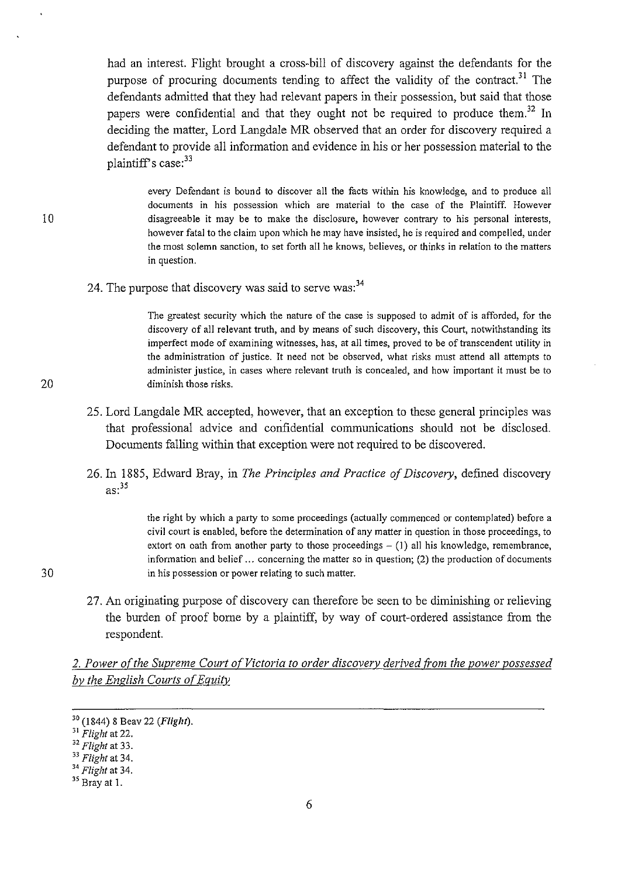had an interest. Flight brought a cross-bill of discovery against the defendants for the purpose of procuring documents tending to affect the validity of the contract.<sup>31</sup> The defendants admitted that they had relevant papers in their possession, but said that those papers were confidential and that they ought not be required to produce them.<sup>32</sup> In deciding the matter, Lord Langdale MR observed that an order for discovery required a defendant to provide all information and evidence in his or her possession material to the plaintiff's case:<sup>33</sup>

every Defendant is bound to discover all the facts within his knowledge, and to produce all **documents in his possession which are material to the case of the Plaintiff. However disagreeable it may be to make the disclosure, however contrary to his personal interests,**  however fatal to the claim upon which he may have insisted, he is required and compelled, under **the most solemn sanction, to set forth all he knows, believes, or thinks in relation to the matters in question.** 

24. The purpose that discovery was said to serve was:<sup>34</sup>

The greatest security which the nature of the case is supposed to admit of is afforded, for the discovery of all relevant truth, and by means of such discovery, this Court, notwithstanding its **imperfect mode of examining witnesses, has, at all times, proved to be of transcendent utility in the administration of justice. It need not be observed, what risks must attend all attempts to administer justice, in cases where relevant truth is concealed, and how important it must be to diminish those risks.** 

- 25. Lord Langdale MR accepted, however, that an exception to these general principles was that professional advice and confidential communications should not be disclosed. Documents falling within that exception were not required to be discovered.
- 26. In 1885, Edward Bray, in *The Principles and Practice of Discovery,* defined discovery  $as:$ <sup>35</sup>

the right by which a party to some proceedings (actually commenced or contemplated) before a **civil court is enabled, before the determination of any matter in question in those proceedings, to**  extort on oath from another party to those proceedings  $- (1)$  all his knowledge, remembrance, information and belief ... concerning the matter so in question; (2) the production of documents **in his possession or power relating to such matter.** 

27. An originating purpose of discovery can therefore be seen to be diminishing or relieving the burden of proof borne by a plaintiff, by way of court-ordered assistance from the respondent.

2. Power of the Supreme Court of Victoria to order discovery derived from the power possessed *by the English Courts of Equity* 

30

<sup>30 (1844) 8</sup> Beav 22 *(Flight).* 

<sup>31</sup>*Flight* at 22. 32 *Flight* at 33. 33 *Flight* at 34. 34 *Flight* at 34. 35 Bray at I.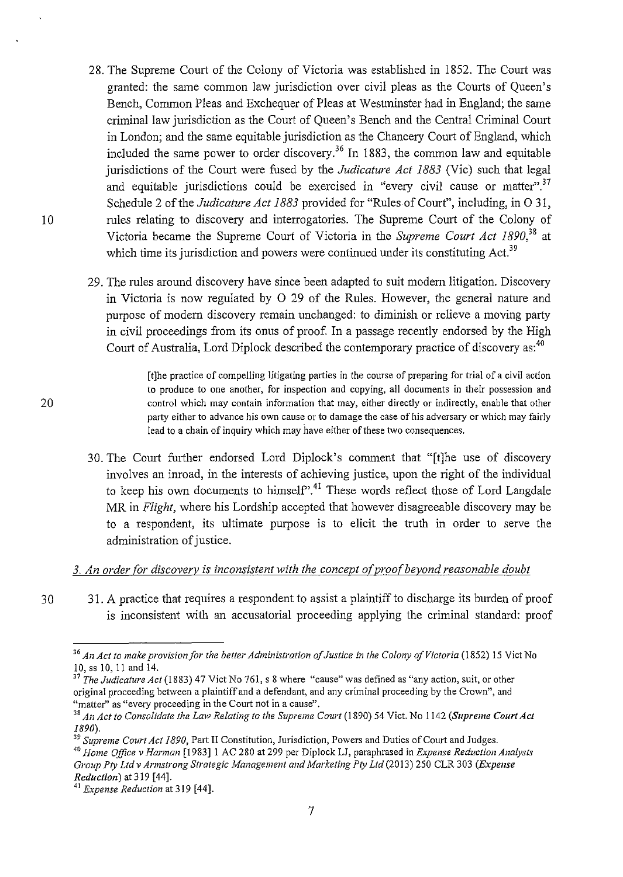- 28. The Supreme Court of the Colony of Victoria was established in 1852. The Court was granted: the same common law jurisdiction over civil pleas as the Courts of Queen's Bench, Common Pleas and Exchequer of Pleas at Westminster had in England; the same criminal law jurisdiction as the Court of Queen's Bench and the Central Criminal Court in London; and the same equitable jurisdiction as the Chancery Court of England, which included the same power to order discovery.<sup>36</sup> In 1883, the common law and equitable jurisdictions of the Court were fused by the *Judicature Act 1883* (Vic) such that legal and equitable jurisdictions could be exercised in "every civil cause or matter".<sup>37</sup> Schedule 2 of the *Judicature Act 1883* provided for "Rules of Court", including, in 0 31, rules relating to discovery and interrogatories. The Supreme Court of the Colony of Victoria became the Supreme Court of Victoria in the *Supreme Court Act 1890,38* at which time its jurisdiction and powers were continued under its constituting Act.<sup>39</sup>
- 29. The rules around discovery have since been adapted to suit modern litigation. Discovery in Victoria is now regulated by 0 29 of the Rules. However, the general nature and purpose of modern discovery remain unchanged: to diminish or relieve a moving party in civil proceedings from its onus of proof. In a passage recently endorsed by the High Court of Australia, Lord Diplock described the contemporary practice of discovery as:<sup>40</sup>

[t]he practice of compelling litigating parties in the course of preparing for trial of a civil action **to produce to one another, for inspection and copying, all documents in their possession and control which may contain information that may, either directly or indirectly, enable that other party either to advance his own cause or to damage the case of his adversary or which may fairly**  lead to a chain of inquiry which may have either of these two consequences.

30. The Court further endorsed Lord Diplock's comment that "[t]he use of discovery involves an inroad, in the interests of achieving justice, upon the right of the individual to keep his own documents to himself".<sup>41</sup> These words reflect those of Lord Langdale MR in *Flight,* where his Lordship accepted that however disagreeable discovery may be to a respondent, its ultimate purpose is to elicit the truth in order to serve the administration of justice.

## *3. An order {or discovery is inconsistent with the concept o{proo{beyond reasonable doubt*

3 0 31. A practice that requires a respondent to assist a plaintiff to discharge its burden of proof is inconsistent with an accusatorial proceeding applying the criminal standard: proof

<sup>39</sup> Supreme Court Act 1890, Part II Constitution, Jurisdiction, Powers and Duties of Court and Judges.

<sup>40</sup> Home Office v Harman [1983] 1 AC 280 at 299 per Diplock LJ, paraphrased in *Expense Reduction Analysts Group Pty Ltd v Armstrong Strategic Management and Marketing Pty Ltd* (20 13) 250 CLR 303 *(Expense Reduction)* at319 [44].

7

20

<sup>&</sup>lt;sup>36</sup> An Act to make provision for the better Administration of Justice in the Colony of Victoria (1852) 15 Vict No 10, ss 10, II and 14.

<sup>&</sup>lt;sup>37</sup>The Judicature Act (1883) 47 Vict No 761, s 8 where "cause" was defined as "any action, suit, or other original proceeding between a plaintiff and a defendant, and any criminal proceeding by the Crown", and **"matter'' as "every proceeding in the Court not in a cause".** 

<sup>&</sup>lt;sup>38</sup> An Act to Consolidate the Law Relating to the Supreme Court (1890) 54 Vict. No 1142 (Supreme Court Act *1890).* 

<sup>41</sup>*Expense Reduction* at 319 [44].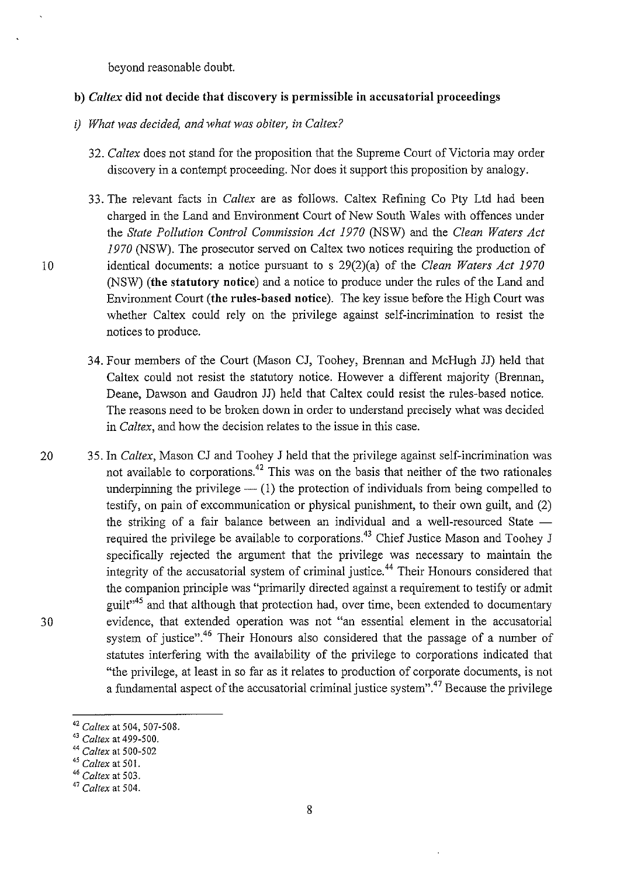beyond reasonable doubt.

#### **b)** *Caltex* **did not decide that discovery is permissible in accusatorial proceedings**

- *i) What was decided, and what was obiter, in Caltex?* 
	- 32. *Caltex* does not stand for the proposition that the Supreme Court of Victoria may order discovery in a contempt proceeding. Nor does it support this proposition by analogy.
	- 33. The relevant facts in *Caltex* are as follows. Caltex Refining Co Pty Ltd had been charged in the Land and Environment Court of New South Wales with offences under the *State Pollution Control Commission Act 1970* (NSW) and the *Clean Waters Act 1970* (NSW). The prosecutor served on Caltex two notices requiring the production of identical documents: a notice pursuant to s 29(2)(a) of the *Clean Waters Act 1970*  (NSW) **(the statutory notice)** and a notice to produce under the rules of the Land and Environment Court **(the rules-based notice).** The key issue before the High Court was whether Caltex could rely on the privilege against self-incrimination to resist the notices to produce.
	- 34. Four members of the Court (Mason CJ, Toohey, Brennan and McHugh JJ) held that Caltex could not resist the statutory notice. However a different majority (Brennan, Deane, Dawson and Gaudron JJ) held that Caltex could resist the rules-based notice. The reasons need to be broken down in order to understand precisely what was decided in *Caltex,* and how the decision relates to the issue in this case.
- 20 35. In *Caltex,* Mason CJ and Toohey J held that the privilege against self-incrimination was 30 not available to corporations.<sup>42</sup> This was on the basis that neither of the two rationales underpinning the privilege  $-$  (1) the protection of individuals from being compelled to testify, on pain of excommunication or physical punishment, to their own guilt, and (2) the striking of a fair balance between an individual and a well-resourced State  $$ required the privilege be available to corporations.<sup>43</sup> Chief Justice Mason and Toohey J specifically rejected the argument that the privilege was necessary to maintain the integrity of the accusatorial system of criminal justice.<sup>44</sup> Their Honours considered that the companion principle was "primarily directed against a requirement to testify or admit guilt<sup>"45</sup> and that although that protection had, over time, been extended to documentary evidence, that extended operation was not "an essential element in the accusatorial system of justice".<sup>46</sup> Their Honours also considered that the passage of a number of statutes interfering with the availability of the privilege to corporations indicated that "the privilege, at least in so far as it relates to production of corporate documents, is not a fundamental aspect of the accusatorial criminal justice system".<sup>47</sup> Because the privilege

<sup>&</sup>lt;sup>42</sup> Caltex at 504, 507-508.<br><sup>43</sup> Caltex at 499-500.

<sup>43</sup>*Caltex* at 499-500. 44 *Caltex* at 500-502 45 *Ca/tex* at 501.

<sup>46</sup>*Caltex* at 503.

<sup>47</sup>*Caltex* at 504.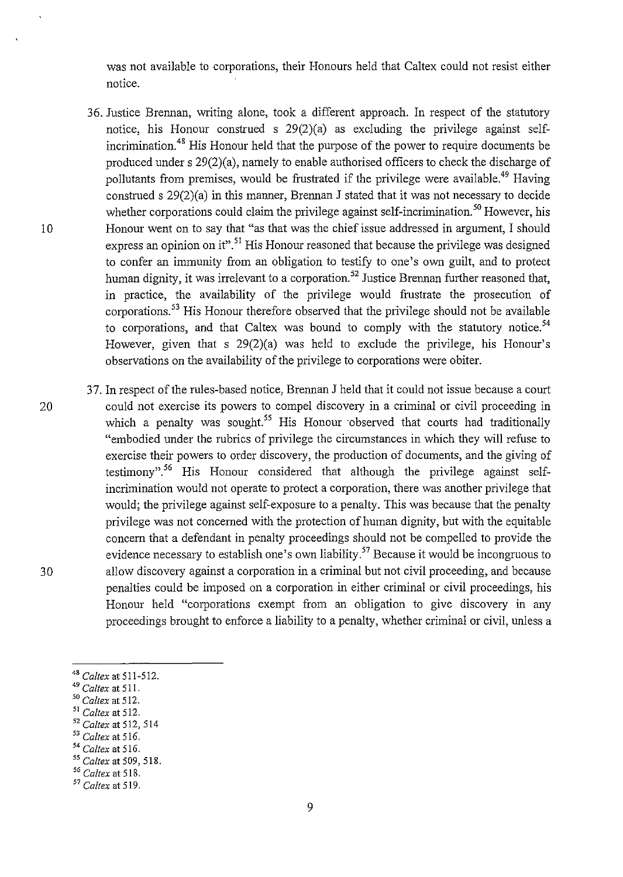was not available to corporations, their Honours held that Caltex could not resist either notice.

- 36. Justice Brennan, writing alone, took a different approach. In respect of the statutory notice, his Honour construed s 29(2)(a) as excluding the privilege against selfincrimination. 48 His Honour held that the purpose of the power to require documents be produced under s 29(2)(a), namely to enable authorised officers to check the discharge of pollutants from premises, would be frustrated if the privilege were available.<sup>49</sup> Having construed s 29(2)(a) in this manner, Brennan J stated that it was not necessary to decide whether corporations could claim the privilege against self-incrimination.<sup>50</sup> However, his 1 0 Honour went on to say that "as that was the chief issue addressed in argument, I should express an opinion on it".<sup>51</sup> His Honour reasoned that because the privilege was designed to confer an immunity from an obligation to testify to one's own guilt, and to protect human dignity, it was irrelevant to a corporation.<sup>52</sup> Justice Brennan further reasoned that, in practice, the availability of the privilege would frustrate the prosecution of corporations. 53 His Honour therefore observed that the privilege should not be available to corporations, and that Caltex was bound to comply with the statutory notice.<sup>54</sup> However, given that s 29(2)(a) was held to exclude the privilege, *his* Honour's observations on the availability of the privilege to corporations were obiter.
- 3 7. In respect of the rules-based notice, Brennan J held that it could not issue because a court 20 could not exercise its powers to compel discovery in a criminal or civil proceeding in which a penalty was sought.<sup>55</sup> His Honour observed that courts had traditionally "embodied under the rubrics of privilege the circumstances in which they will refuse to exercise their powers to order discovery, the production of documents, and the giving of testimony".<sup>56</sup> His Honour considered that although the privilege against selfincrimination would not operate to protect a corporation, there was another privilege that would; the privilege against self-exposure to a penalty. This was because that the penalty privilege was not concerned with the protection of human dignity, but with the equitable concern that a defendant in penalty proceedings should not be compelled to provide the evidence necessary to establish one's own liability.<sup>57</sup> Because it would be incongruous to 30 allow discovery against a corporation in a criminal but not civil proceeding, and because penalties could be imposed on a corporation in either criminal or civil proceedings, his Honour held "corporations exempt from an obligation to give discovery in any proceedings brought to enforce a liability to a penalty, whether criminal or civil, unless a

- <sup>53</sup>*Caltex* at 516.
- <sup>54</sup>*Caltex* at 516.

<sup>48</sup>*Caltex* at 511-512.

<sup>49</sup>*Caltex* at 511.

*<sup>50</sup> Caltex* at 512.

<sup>51</sup>*Caltex* at 512.

<sup>52</sup> Caltex at 512, 514

<sup>55</sup>*Caltex* at 509, 518.

<sup>56</sup>*Caltex* at 518.

<sup>57</sup>*Caltex* at 519.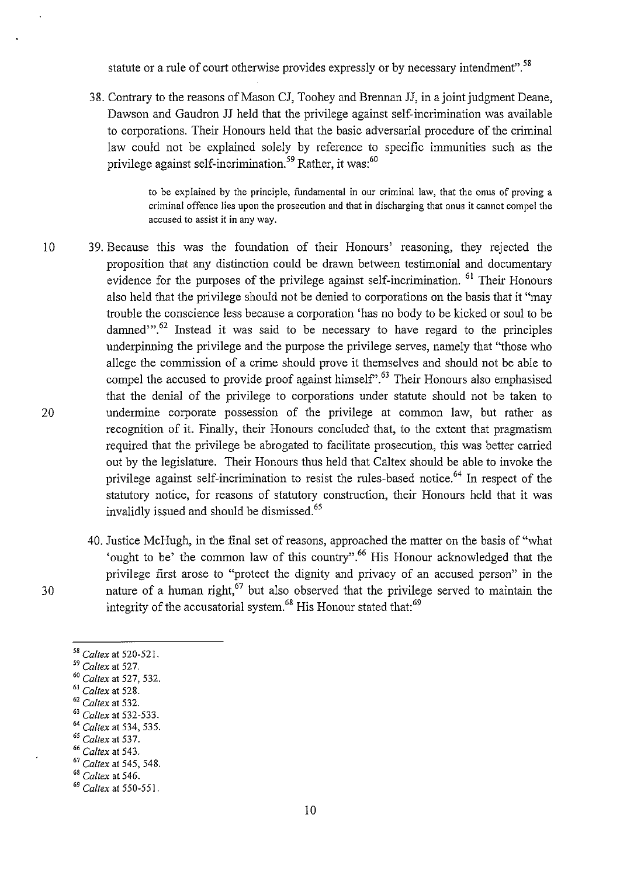statute or a rule of court otherwise provides expressly or by necessary intendment".<sup>58</sup>

38. Contrary to the reasons of Mason CJ, Toohey and Brennan JJ, in a joint judgment Deane, Dawson and Gaudron JJ held that the privilege against self-incrimination was available to corporations. Their Honours held that the basic adversarial procedure of the criminal law could not be explained solely by reference to specific immunities such as the privilege against self-incrimination.<sup>59</sup> Rather, it was:<sup>60</sup>

> **to be explained by the principle, fundamental in our criminal law, that the onus of proving a criminal offence lies upon the prosecution and that in discharging that onus it cannot compel the accused to assist it in any way.**

- 10 39. Because this was the foundation of their Honours' reasoning, they rejected the 20 proposition that any distinction could be drawn between testimonial and documentary evidence for the purposes of the privilege against self-incrimination. <sup>61</sup> Their Honours also held that the privilege should not be denied to corporations on the basis that it "may trouble the conscience less because a corporation 'has no body to be kicked or soul to be damned $\cdots$ <sup>62</sup> Instead it was said to be necessary to have regard to the principles underpinning the privilege and the purpose the privilege serves, namely that "those who allege the commission of a crime should prove it themselves and should not be able to compel the accused to provide proof against himself'.<sup>63</sup> Their Honours also emphasised that the denial of the privilege to corporations under statute should not be taken to undermine corporate possession of the privilege at common law, but rather as recognition of it. Finally, their Honours concluded that, to the extent that pragmatism required that the privilege be abrogated to facilitate prosecution, this was better carried out by the legislature. Their Honours thus held that Caltex should be able to invoke the privilege against self-incrimination to resist the rules-based notice.<sup>64</sup> In respect of the statutory notice, for reasons of statutory construction, their Honours held that it was invalidly issued and should be dismissed.<sup>65</sup>
	- 40. Justice McHugh, in the final set of reasons, approached the matter on the basis of "what 'ought to be' the common law of this country".66 His Honour acknowledged that the privilege first arose to "protect the dignity and privacy of an accused person" in the nature of a human right, $67$  but also observed that the privilege served to maintain the integrity of the accusatorial system.<sup>68</sup> His Honour stated that:<sup>69</sup>
	-

- <sup>61</sup>*Caltex* at 528. 62 *Ca/tex* at 532. 63 *Caltex* at 532-533.
- 
- <sup>64</sup> Caltex at 534, 535.<br><sup>65</sup> Caltex at 537.
- 

*<sup>58</sup> Caltex* at 520-521. 59 *Caltex* at 527. 60 *Caltex* at 527, 532.

<sup>65</sup>*Caltex* at 537. 66 *Caltex* at 543. 67 *Caltex* at 545, 548. 68 *Caltex* at 546. 69 *Caltex* at 550-551.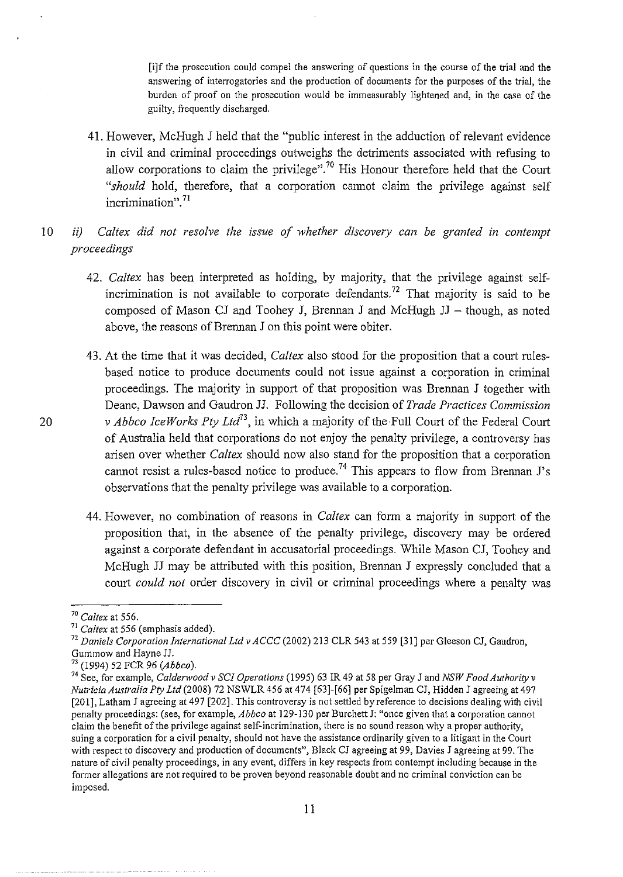[i]f the prosecution could compel the answering of questions in the course of the trial and the answering of interrogatories and the production of documents for the purposes of the trial, the burden of proof on the prosecution would be immeasurably lightened and, in the case of the guilty, frequently discharged.

- 41. However, McHugh J held that the "public interest in the adduction of relevant evidence in civil and criminal proceedings outweighs the detriments associated with refusing to allow corporations to claim the privilege".<sup>70</sup> His Honour therefore held that the Court *"should* hold, therefore, that a corporation cannot claim the privilege against self incrimination". <sup>71</sup>
- 10 *ii) Caltex did not resolve the issue of whether discovery can be granted in contempt proceedings* 
	- 42. *Caltex* has been interpreted as holding, by majority, that the privilege against selfincrimination is not available to corporate defendants.<sup>72</sup> That majority is said to be composed of Mason CJ and Toohey J, Brennan J and McHugh  $JJ -$  though, as noted above, the reasons of Brennan J on this point were obiter.
	- 43. At the time that it was decided, *Caltex* also stood for the proposition that a court rulesbased notice to produce documents could not issue against a corporation in criminal proceedings. The majority in support of that proposition was Brennan J together with Deane, Dawson and Gaudron JJ. Following the decision of *Trade Practices Commission v Abbco IceWorks Pty Ltd*<sup>73</sup>, in which a majority of the Full Court of the Federal Court of Australia held that corporations do not enjoy the penalty privilege, a controversy has arisen over whether *Caltex* should now also stand for the proposition that a corporation cannot resist a rules-based notice to produce.<sup>74</sup> This appears to flow from Brennan J's observations that the penalty privilege was available to a corporation.
	- 44. However, no combination of reasons in *Caltex* can form a majority in support of the proposition that, in the absence of the penalty privilege, discovery may be ordered against a corporate defendant in accusatorial proceedings. While Mason CJ, Toohey and McHugh JJ may be attributed with this position, Brennan J expressly concluded that a comt *could not* order discovery in civil or criminal proceedings where a penalty was

 $70$  Caltex at 556.

<sup>&</sup>lt;sup>71</sup> Caltex at 556 (emphasis added).

<sup>72</sup>*Daniels Corporation International Ltd v ACCC* (2002) 213 CLR 543 at 559 [31] per Gleeson CJ, Gaudron,

<sup>&</sup>lt;sup>73</sup> (1994) 52 FCR 96 (Abbco).

<sup>74</sup> See, for example, *Caldenvood v SCI Operations* (1995) 63 IR 49 at 58 per Gray J and *NSW Food Authority v Nutricia Australia Pty Ltd* (2008) 72 NSWLR 456 at 474 [63]-[66] per Spigelman CJ, Hidden J agreeing at 497 [201], Latham J agreeing at 497 [202]. This controversy is not settled by reference to decisions dealing with civil penalty proceedings: (see, for example, *Abbco* at 129-130 per Burchett J: "once given that a corporation cannot **claim the benefit of the privilege against self-incrimination, there is no sound reason why a proper authority, suing a corporation for a civil penalty, should not have the assistance ordinarily given to a litigant in the Court**  with respect to discovery and production of documents", Black CJ agreeing at 99, Davies J agreeing at 99. The **nature of civil penalty proceedings, in any event, differs in key respects from contempt including because in the former allegations are not required to be proven beyond reasonable doubt and no criminal conviction can be**  imposed.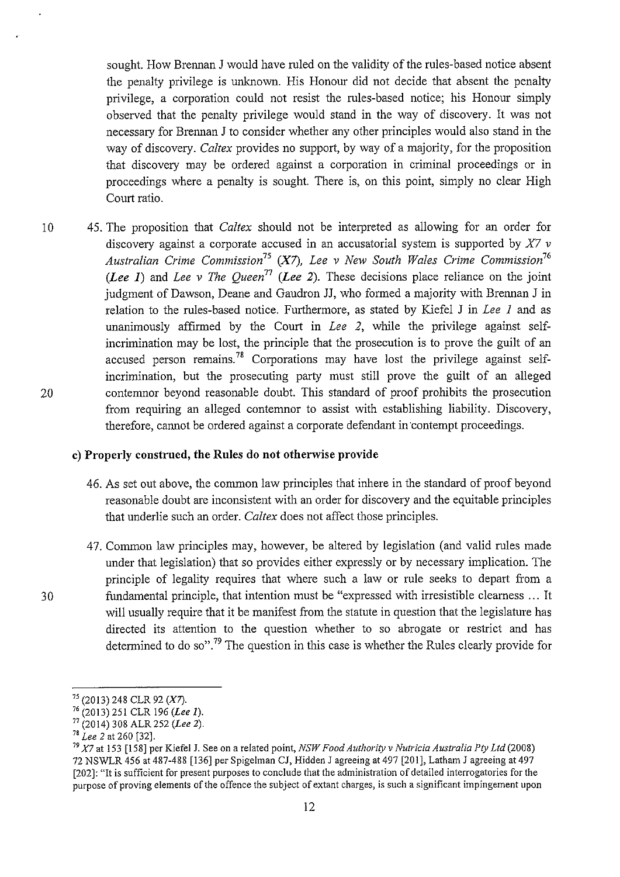sought. How Brennan J would have ruled on the validity of the rules-based notice absent the penalty privilege is unknown. His Honour did not decide that absent the penalty privilege, a corporation could not resist the rules-based notice; his Honour simply observed that the penalty privilege would stand in the way of discovery. It was not necessary for Brennan J to consider whether any other principles would also stand in the way of discovery. *Caltex* provides no support, by way of a majority, for the proposition that discovery may be ordered against a corporation in criminal proceedings or in proceedings where a penalty is sought. There is, on this point, simply no clear High Court ratio.

10 45. The proposition that *Caltex* should not be interpreted as allowing for an order for discovery against a corporate accused in an accusatorial system is supported by *X7 v Australian Crime Commission<sup>75</sup>*(X7), *Lee v New South Wales Crime Commission<sup>76</sup> (Lee 1)* and *Lee v The Queen71 (Lee 2).* These decisions place reliance on the joint judgment of Dawson, Deane and Gaudron JJ, who formed a majority with Brennan J in relation to the rules-based notice. Furthermore, as stated by Kiefel J in *Lee 1* and as unanimously affirmed by the Court in *Lee 2,* while the privilege against selfincrimination may be lost, the principle that the prosecution is to prove the guilt of an accused person remains.<sup>78</sup> Corporations may have lost the privilege against selfincrimination, but the prosecuting party must still prove the guilt of an alleged 20 contemnor beyond reasonable doubt. This standard of proof prohibits the prosecution from requiring an alleged contemnor to assist with establishing liability. Discovery, therefore, cannot be ordered against a corporate defendant in contempt proceedings.

#### **c) Properly construed, the Rules do not otherwise provide**

- 46. As set out above, the common law principles that inhere in the standard of proof beyond reasonable doubt are inconsistent with an order for discovery and the equitable principles that underlie such an order. *Caltex* does not affect those principles.
- 47. Common law principles may, however, be altered by legislation (and valid rules made under that legislation) that so provides either expressly or by necessary implication. The principle of legality requires that where such a law or rule seeks to depart from a 30 fundamental principle, that intention must be "expressed with irresistible clearness ... It will usually require that it be manifest from the statute in question that the legislature has directed its attention to the question whether to so abrogate or restrict and has determined to do so".<sup>79</sup> The question in this case is whether the Rules clearly provide for

<sup>75 (2013) 248</sup> CLR 92 (X7).

<sup>76 (20 13) 251</sup> CLR 196 *(Lee 1).* 

 $77 \over 77 (2014) 308$  ALR 252 *(Lee 2)*.<br><sup>78</sup> Lee 2 at 260 [32].

<sup>78</sup>*Lee 2* at 260 [32]. 79 *X7* at 153 [158] per Kiefe1 J. See on a related point, *NSW Food Authority v Nutricia Australia Pty Ltd* (2008) 72 NSWLR 456 at 487-488 [136] per Spigelman CJ, Hidden J agreeing at 497 [201], Latham J agreeing at 497 [202]: "It is sufficient for present purposes to conclude that the administration of detailed interrogatories for the **purpose of proving elements of the offence the subject of extant charges, is such a significant impingement upon**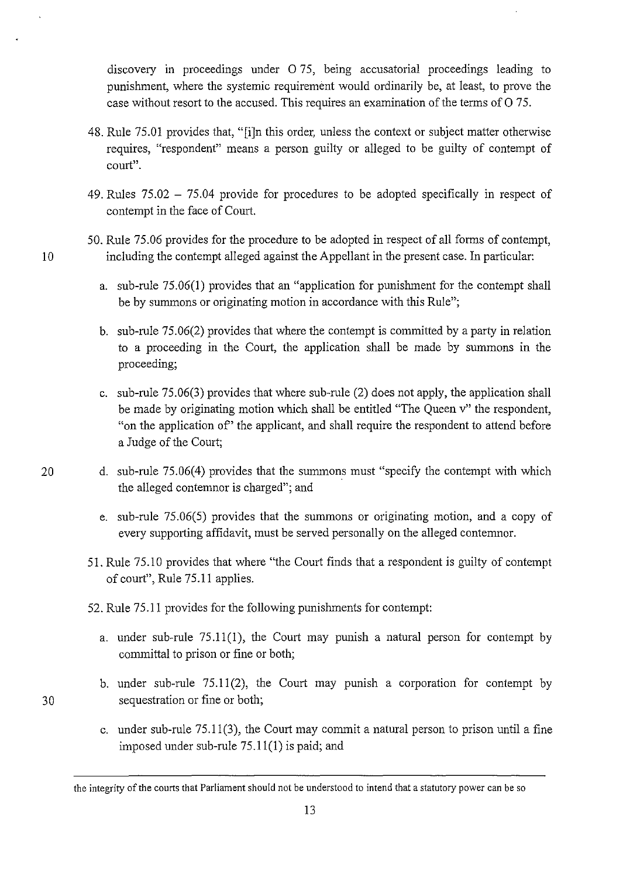discovery in proceedings under  $0.75$ , being accusatorial proceedings leading to punishment, where the systemic requirement would ordinarily be, at least, to prove the case without resort to the accused. This requires an examination of the terms of O 75.

- 48. Rule 75.01 provides that, "[i]n this order, unless the context or subject matter otherwise requires, "respondent" means a person guilty or alleged to be guilty of contempt of **court".**
- 49. Rules 75.02 75.04 provide for procedures to be adopted specifically in respect of contempt in the face of Court.
- 50. Rule 75.06 provides for the procedure to be adopted in respect of all forms of contempt, 10 including the contempt alleged against the Appellant in the present case. In particular:
	- a. sub-rule 75.06(1) provides that an "application for punishment for the contempt shall be by summons or originating motion in accordance with this Rule";
	- b. sub-rule 75.06(2) provides that where the contempt is committed by a party in relation to a proceeding in the Court, the application shall be made by summons in the proceeding;
	- c. sub-rule 75.06(3) provides that where sub-rule (2) does not apply, the application shall be made by originating motion which shall be entitled "The Queen v" the respondent, "on the application of' the applicant, and shall require the respondent to attend before a Judge of the Court;
- 20 d. sub-rule 75.06(4) provides that the summons must "specify the contempt with which the alleged contemnor is charged"; and
	- e. sub-rule 75.06(5) provides that the summons or originating motion, and a copy of every supporting affidavit, must be served personally on the alleged contemnor.
	- 51. Rule 75.10 provides that where "the Court finds that a respondent is guilty of contempt of court", Rule 75.11 applies.
	- 52. Rule 75.11 provides for the following punishments for contempt:
		- a. under sub-rule  $75.11(1)$ , the Court may punish a natural person for contempt by committal to prison or fine or both;
		- b. under sub-rule 75.11(2), the Court may punish a corporation for contempt by sequestration or fine or both;
		- c. under sub-rule 75.11(3), the Court may commit a natural person to prison until a fine imposed under sub-rule 75.11(1) is paid; and

13

the integrity of the courts that Parliament should not be understood to intend that a statutory power can be so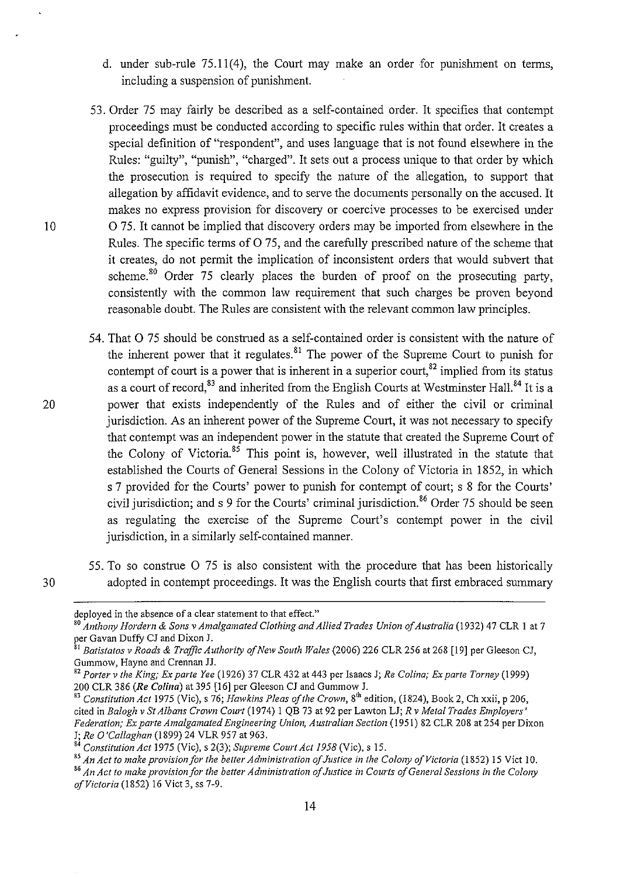- d. under sub-rule 75.11(4), the Court may make an order for punishment on terms, including a suspension of punishment.
- 53. Order 75 may fairly be described as a self-contained order. It specifies that contempt proceedings must be conducted according to specific rules within that order. It creates a special definition of "respondent", and uses language that is not found elsewhere in the Rules: "guilty", "punish", "charged". It sets out a process unique to that order by which the prosecution is required to specify the nature of the allegation, to support that allegation by affidavit evidence, and to serve the documents personally on the accused. It makes no express provision for discovery or coercive processes to be exercised under 0 75. It cannot be implied that discovery orders may be imported from elsewhere in the Rules. The specific terms of  $O$  75, and the carefully prescribed nature of the scheme that it creates, do not permit the implication of inconsistent orders that would subvert that scheme.<sup>80</sup> Order  $75$  clearly places the burden of proof on the prosecuting party, consistently with the common law requirement that such charges be proven beyond reasonable doubt. The Rules are consistent with the relevant common law principles.
- 54. That 0 75 should be construed as a self-contained order is consistent with the nature of the inherent power that it regulates.<sup>81</sup> The power of the Supreme Court to punish for contempt of court is a power that is inherent in a superior court,  $82$  implied from its status as a court of record,  $83$  and inherited from the English Courts at Westminster Hall.  $84$  It is a 20 power that exists independently of the Rules and of either the civil or criminal jurisdiction. As an inherent power of the Supreme Court, it was not necessary to specify that contempt was an independent power in the statute that created the Supreme Court of the Colony of Victoria.  $85$  This point is, however, well illustrated in the statute that established the Courts of General Sessions in the Colony of Victoria in 1852, in which s 7 provided for the Courts' power to punish for contempt of court; s 8 for the Courts' civil jurisdiction; and s 9 for the Courts' criminal jurisdiction.<sup>86</sup> Order 75 should be seen as regulating the exercise of the Supreme Court's contempt power in the civil jurisdiction, in a similarly self-contained manner.
- 55. To so construe 0 75 is also consistent with the procedure that has been historically 3 0 adopted in contempt proceedings. It was the English courts that first embraced summary

deployed in the absence of a clear statement to that effect."

<sup>80</sup>*Anthony Hordern* & *Sons* v *Amalgamated Clothing and Allied Trades Union of Australia* (1932) 47 CLR I at 7 per Gavan Duffy CJ and Dixon J.<br><sup>81</sup> Batistatos v Roads & *Traffic Authority of New South Wales* (2006) 226 CLR 256 at 268 [19] per Gleeson CJ,

Gummow, Hayne and Crennan JJ.

<sup>82</sup>*Porter* v *the King; Ex parte Yee* (1926) 37 CLR 432 at 443 per Isaacs J; *Re Colina; Ex parte Torney* (1999)

<sup>&</sup>lt;sup>83</sup> Constitution Act 1975 (Vic), s 76; *Hawkins Pleas of the Crown*, 8<sup>th</sup> edition, (1824), Book 2, Ch xxii, p 206, cited in *Balogh* v *St Albans Crown Court* (1974) I QB 73 at 92 per Lawton LJ; *R* v *Metal Trades Employers' Federation; Ex parte Amalgamated Engineering Union, Australian Section* (1951) 82 CLR 208 at 254 per Dixon J; Re O'Callaghan (1899) 24 VLR 957 at 963.<br><sup>84</sup> Constitution Act 1975 (Vic), s 2(3); Supreme Court Act 1958 (Vic), s 15.<br><sup>85</sup> An Act to make provision for the better Administration of Justice in the Colony of Victoria (18

*of Victoria* (1852) 16 Viet 3, ss 7-9.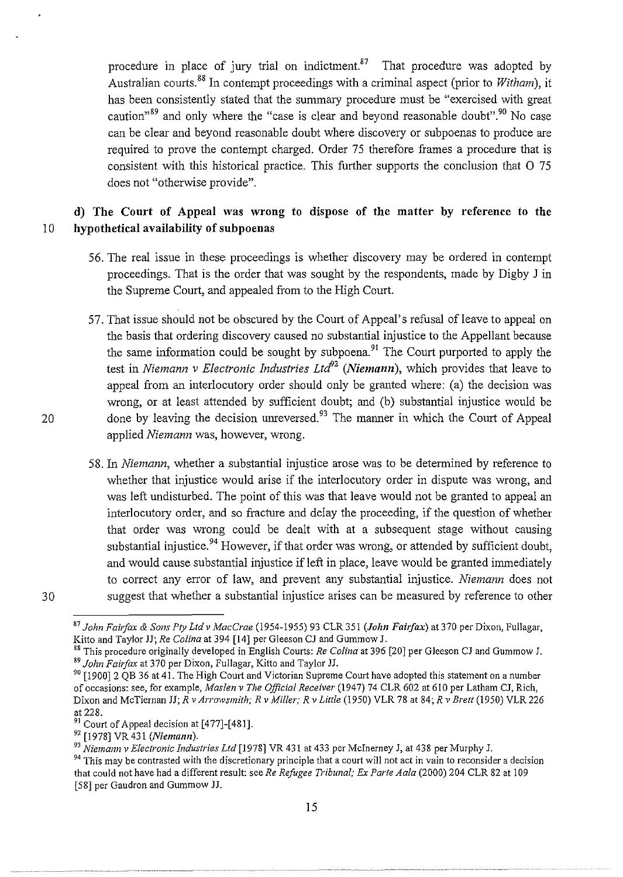procedure in place of jury trial on indictment. $87$  That procedure was adopted by Australian courts. 88 In contempt proceedings with a criminal aspect (prior to *Witham),* it has been consistently stated that the summary procedure must be "exercised with great caution<sup>39</sup> and only where the "case is clear and beyond reasonable doubt".<sup>90</sup> No case can be clear and beyond reasonable doubt where discovery or subpoenas to produce are required to prove the contempt charged. Order 75 therefore frames a procedure that is consistent with this historical practice. This further supports the conclusion that 0 75 does not "otherwise provide".

# **d) The Court of Appeal was wrong to dispose of the matter by reference to the**  10 **hypothetical availability of subpoenas**

- 56. The real issue in these proceedings is whether discovery may be ordered in contempt proceedings. That is the order that was sought by the respondents, made by Digby J in the Supreme Court, and appealed from to the High Court.
- 57. That issue should not be obscured by the Court of Appeal's refusal of leave to appeal on the basis that ordering discovery caused no substantial injustice to the Appellant because the same information could be sought by subpoena.<sup>91</sup> The Court purported to apply the test in *Niemann v Electronic Industries Ltd<sup>92</sup> (Niemann)*, which provides that leave to appeal from an interlocutory order should only be granted where: (a) the decision was wrong, or at least attended by sufficient doubt; and (b) substantial injustice would be done by leaving the decision unreversed.<sup>93</sup> The manner in which the Court of Appeal applied *Niemann* was, however, wrong.
- 58. In *Niemann,* whether a substantial injustice arose was to be determined by reference to whether that injustice would arise if the interlocutory order in dispute was wrong, and was left undisturbed. The point of this was that leave would not be granted to appeal an interlocutory order, and so fracture and delay the proceeding, if the question of whether that order was wrong could be dealt with at a subsequent stage without causing substantial injustice.<sup>94</sup> However, if that order was wrong, or attended by sufficient doubt, and would cause substantial injustice if left in place, leave would be granted immediately to correct any error of law, and prevent any substantial injustice. *Niemann* does not suggest that whether a substantial injustice arises can be measured by reference to other

<sup>&</sup>lt;sup>87</sup> John Fairfax & Sons Pty Ltd v MacCrae (1954-1955) 93 CLR 351 (John Fairfax) at 370 per Dixon, Fullagar, Kitto and Taylor JJ; Re Colina at 394 [14] per Gleeson CJ and Gummow J.

<sup>&</sup>lt;sup>88</sup> This procedure originally developed in English Courts: *Re Colina* at 396 [20] per Gleeson CJ and Gummow J. <sup>89</sup> John Fairfax at 370 per Dixon, Fullagar, Kitto and Taylor JJ.

<sup>&</sup>lt;sup>90</sup> [1900] 2 QB 36 at 41. The High Court and Victorian Supreme Court have adopted this statement on a number of occasions: see, for example, *Maslen v The Official Receiver* (1947) 74 CLR 602 at 610 per Latham CJ, Rich, Dixon and McTiernan JJ; *R v Arrowsmith; R v Miller; R v Little* (1950) VLR 78 at 84; *R v Brett* (1950) VLR 226 at 228.

<sup>&</sup>lt;sup>91</sup> Court of Appeal decision at [477]-[481].<br><sup>92</sup> [1978] VR 431 (*Niemann*).<br><sup>93</sup> Niemann v Electronic Industries Ltd [1978] VR 431 at 433 per McInerney J, at 438 per Murphy J.

<sup>&</sup>lt;sup>94</sup> This may be contrasted with the discretionary principle that a court will not act in vain to reconsider a decision that could not have had a different result: see *Re Refugee Tribunal; Ex Parte A ala* (2000) 204 CLR 82 at 109 [58] per Gaudron and Gummow JJ.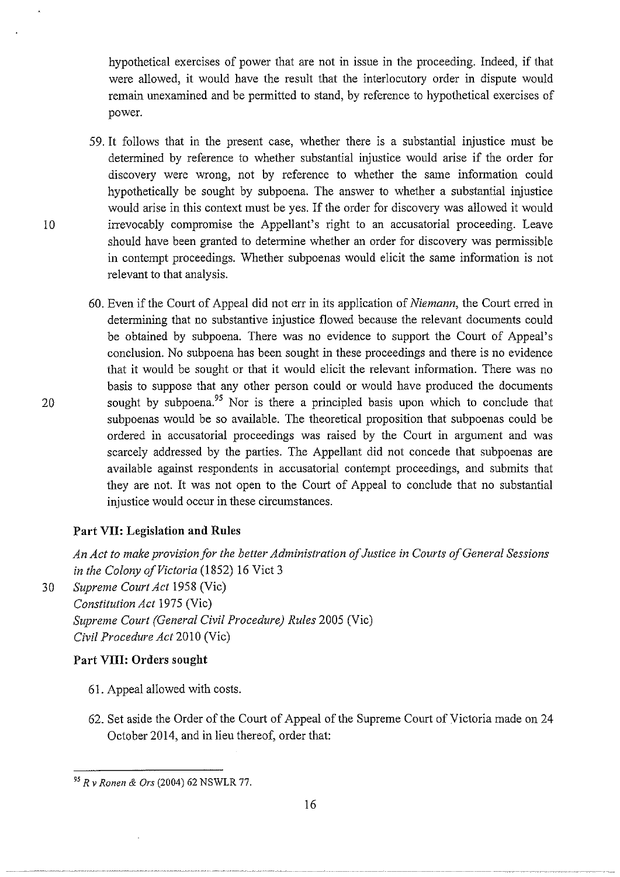hypothetical exercises of power that are not in issue in the proceeding. Indeed, if that were allowed, it would have the result that the interlocutory order in dispute would remain unexamined and be permitted to stand, by reference to hypothetical exercises of power.

- 59. It follows that in the present case, whether there is a substantial injustice must be determined by reference to whether substantial injustice would arise if the order for discovery were wrong, not by reference to whether the same information could hypothetically be sought by subpoena. The answer to whether a substantial injustice would arise in this context must be yes. If the order for discovery was allowed it would 10 irrevocably compromise the Appellant's right to an accusatorial proceeding. Leave should have been granted to determine whether an order for discovery was permissible in contempt proceedings. Whether subpoenas would elicit the same information is not relevant to that analysis.
- 60. Even if the Court of Appeal did not err in its application of *Niemann,* the Court erred in determining that no substantive injustice flowed because the relevant documents could be obtained by subpoena. There was no evidence to support the Court of Appeal's conclusion. No subpoena has been sought in these proceedings and there is no evidence that it would be sought or that it would elicit the relevant information. There was no basis to suppose that any other person could or would have produced the documents 20 sought by subpoena.95 Nor is there a principled basis upon which to conclude that subpoenas would be so available. The theoretical proposition that subpoenas could be ordered in accusatorial proceedings was raised by the Court in argument and was scarcely addressed by the parties. The Appellant did not concede that subpoenas are available against respondents in accusatorial contempt proceedings, and submits that they are not. It was not open to the Court of Appeal to conclude that no substantial injustice would occur in these circumstances.

## **Part VII: Legislation and Rules**

*An Act to make provision for the better Administration of Justice in Courts of General Sessions in the Colony of Victoria* (1852) 16 Viet 3

30 *Supreme Court Act* 1958 (Vic) *Constitution Act* 1975 (Vic) *Supreme Court (General Civil Procedure) Rules* 2005 (Vic) *Civil Procedure Act* 2010 (Vic)

## **Part VIII: Orders sought**

- 61. Appeal allowed with costs.
- 62. Set aside the Order of the Court of Appeal of the Supreme Court of Victoria made on 24 October 2014, and in lieu thereof, order that

<sup>95</sup>*R v Ronen* & *Ors* (2004) 62 NSWLR 77.